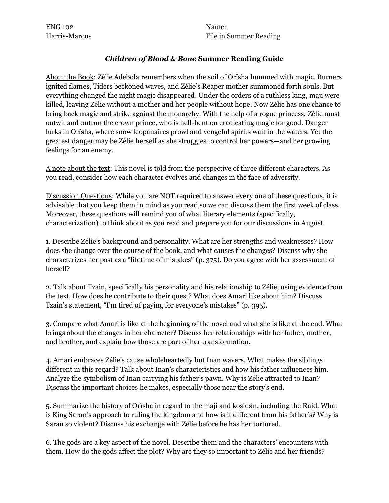ENG 102 Name:

Harris-Marcus File in Summer Reading

## *Children of Blood & Bone* **Summer Reading Guide**

About the Book: Zélie Adebola remembers when the soil of Orïsha hummed with magic. Burners ignited flames, Tiders beckoned waves, and Zélie's Reaper mother summoned forth souls. But everything changed the night magic disappeared. Under the orders of a ruthless king, maji were killed, leaving Zélie without a mother and her people without hope. Now Zélie has one chance to bring back magic and strike against the monarchy. With the help of a rogue princess, Zélie must outwit and outrun the crown prince, who is hell-bent on eradicating magic for good. Danger lurks in Orïsha, where snow leopanaires prowl and vengeful spirits wait in the waters. Yet the greatest danger may be Zélie herself as she struggles to control her powers—and her growing feelings for an enemy.

A note about the text: This novel is told from the perspective of three different characters. As you read, consider how each character evolves and changes in the face of adversity.

Discussion Questions: While you are NOT required to answer every one of these questions, it is advisable that you keep them in mind as you read so we can discuss them the first week of class. Moreover, these questions will remind you of what literary elements (specifically, characterization) to think about as you read and prepare you for our discussions in August.

1. Describe Zélie's background and personality. What are her strengths and weaknesses? How does she change over the course of the book, and what causes the changes? Discuss why she characterizes her past as a "lifetime of mistakes" (p. 375). Do you agree with her assessment of herself?

2. Talk about Tzain, specifically his personality and his relationship to Zélie, using evidence from the text. How does he contribute to their quest? What does Amari like about him? Discuss Tzain's statement, "I'm tired of paying for everyone's mistakes" (p. 395).

3. Compare what Amari is like at the beginning of the novel and what she is like at the end. What brings about the changes in her character? Discuss her relationships with her father, mother, and brother, and explain how those are part of her transformation.

4. Amari embraces Zélie's cause wholeheartedly but Inan wavers. What makes the siblings different in this regard? Talk about Inan's characteristics and how his father influences him. Analyze the symbolism of Inan carrying his father's pawn. Why is Zélie attracted to Inan? Discuss the important choices he makes, especially those near the story's end.

5. Summarize the history of Orïsha in regard to the maji and kosidán, including the Raid. What is King Saran's approach to ruling the kingdom and how is it different from his father's? Why is Saran so violent? Discuss his exchange with Zélie before he has her tortured.

6. The gods are a key aspect of the novel. Describe them and the characters' encounters with them. How do the gods affect the plot? Why are they so important to Zélie and her friends?